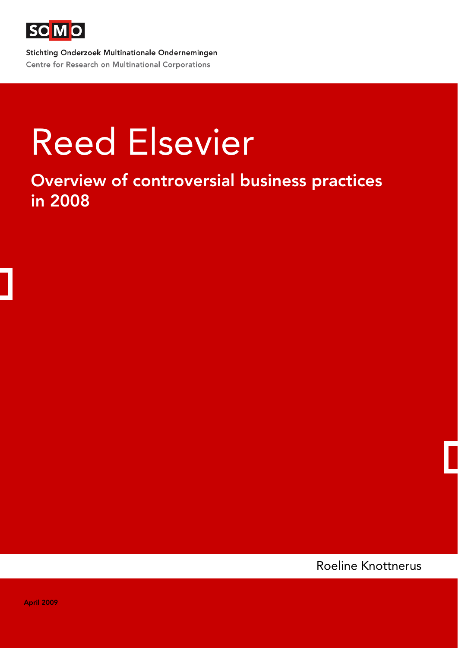

Stichting Onderzoek Multinationale Ondernemingen Centre for Research on Multinational Corporations

# Reed Elsevier

Overview of controversial business practices in 2008

Roeline Knottnerus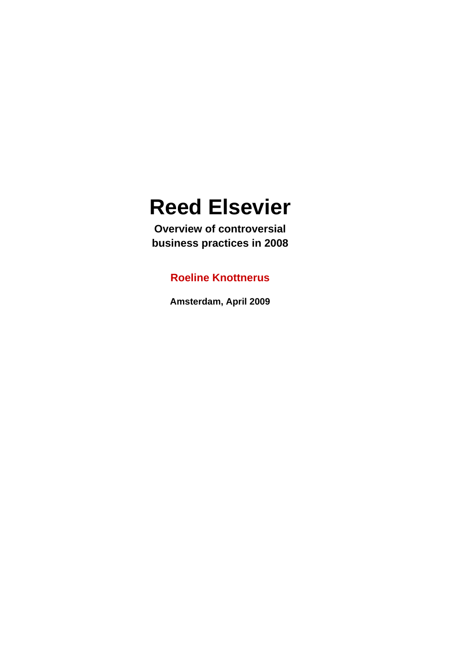# **Reed Elsevier**

**Overview of controversial business practices in 2008** 

### **Roeline Knottnerus**

**Amsterdam, April 2009**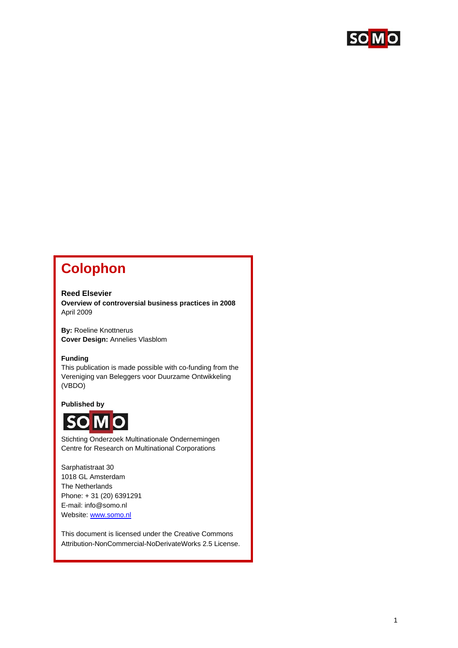

# **Colophon**

#### **Reed Elsevier**

**Overview of controversial business practices in 2008**  April 2009

**By:** Roeline Knottnerus **Cover Design:** Annelies Vlasblom

#### **Funding**

This publication is made possible with co-funding from the Vereniging van Beleggers voor Duurzame Ontwikkeling (VBDO)

#### **Published by**



Stichting Onderzoek Multinationale Ondernemingen Centre for Research on Multinational Corporations

Sarphatistraat 30 1018 GL Amsterdam The Netherlands Phone: + 31 (20) 6391291 E-mail: info@somo.nl Website: [www.somo.nl](http://www.somo.nl/)

This document is licensed under the Creative Commons Attribution-NonCommercial-NoDerivateWorks 2.5 License.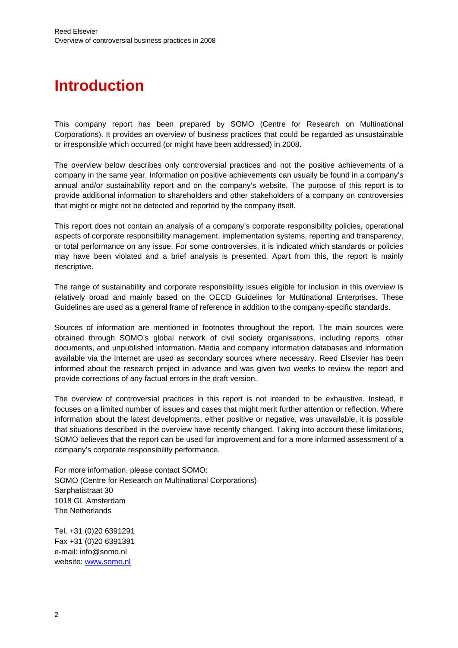# **Introduction**

This company report has been prepared by SOMO (Centre for Research on Multinational Corporations). It provides an overview of business practices that could be regarded as unsustainable or irresponsible which occurred (or might have been addressed) in 2008.

The overview below describes only controversial practices and not the positive achievements of a company in the same year. Information on positive achievements can usually be found in a company's annual and/or sustainability report and on the company's website. The purpose of this report is to provide additional information to shareholders and other stakeholders of a company on controversies that might or might not be detected and reported by the company itself.

This report does not contain an analysis of a company's corporate responsibility policies, operational aspects of corporate responsibility management, implementation systems, reporting and transparency, or total performance on any issue. For some controversies, it is indicated which standards or policies may have been violated and a brief analysis is presented. Apart from this, the report is mainly descriptive.

The range of sustainability and corporate responsibility issues eligible for inclusion in this overview is relatively broad and mainly based on the OECD Guidelines for Multinational Enterprises. These Guidelines are used as a general frame of reference in addition to the company-specific standards.

Sources of information are mentioned in footnotes throughout the report. The main sources were obtained through SOMO's global network of civil society organisations, including reports, other documents, and unpublished information. Media and company information databases and information available via the Internet are used as secondary sources where necessary. Reed Elsevier has been informed about the research project in advance and was given two weeks to review the report and provide corrections of any factual errors in the draft version.

The overview of controversial practices in this report is not intended to be exhaustive. Instead, it focuses on a limited number of issues and cases that might merit further attention or reflection. Where information about the latest developments, either positive or negative, was unavailable, it is possible that situations described in the overview have recently changed. Taking into account these limitations, SOMO believes that the report can be used for improvement and for a more informed assessment of a company's corporate responsibility performance.

For more information, please contact SOMO: SOMO (Centre for Research on Multinational Corporations) Sarphatistraat 30 1018 GL Amsterdam The Netherlands

Tel. +31 (0)20 6391291 Fax +31 (0)20 6391391 e-mail: info@somo.nl website: [www.somo.nl](http://www.somo.nl/)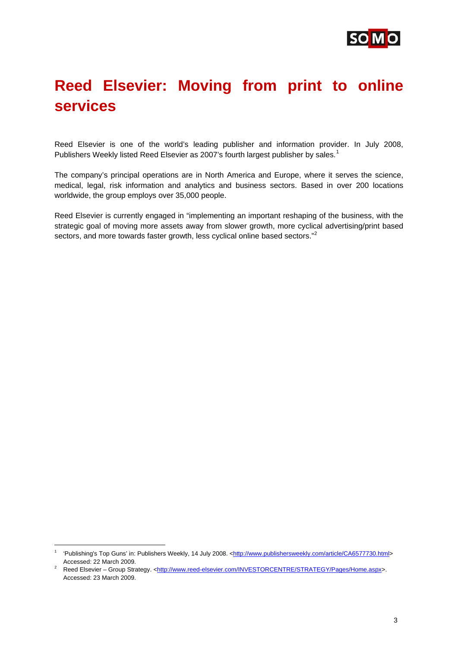

# **Reed Elsevier: Moving from print to online services**

Reed Elsevier is one of the world's leading publisher and information provider. In July 2008, Publishers Weekly listed Reed Elsevier as 2007's fourth largest publisher by sales.<sup>[1](#page-4-0)</sup>

The company's principal operations are in North America and Europe, where it serves the science, medical, legal, risk information and analytics and business sectors. Based in over 200 locations worldwide, the group employs over 35,000 people.

Reed Elsevier is currently engaged in "implementing an important reshaping of the business, with the strategic goal of moving more assets away from slower growth, more cyclical advertising/print based sectors, and more towards faster growth, less cyclical online based sectors." $2$ 

<span id="page-4-0"></span><sup>&</sup>lt;sup>1</sup> 'Publishing's Top Guns' in: Publishers Weekly, 14 July 2008. [<http://www.publishersweekly.com/article/CA6577730.html](http://www.publishersweekly.com/article/CA6577730.html)>

<span id="page-4-1"></span>Accessed: 22 March 2009.<br><sup>2</sup> Reed Elsevier – Group Strategy. <<u>http://www.reed-elsevier.com/INVESTORCENTRE/STRATEGY/Pages/Home.aspx</u>>. Accessed: 23 March 2009.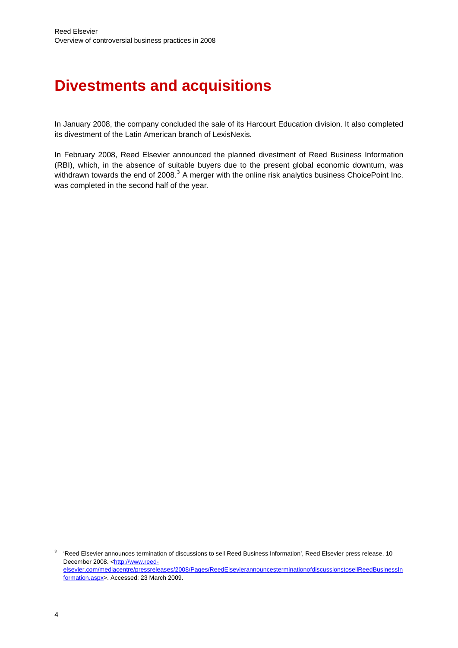# **Divestments and acquisitions**

In January 2008, the company concluded the sale of its Harcourt Education division. It also completed its divestment of the Latin American branch of LexisNexis.

In February 2008, Reed Elsevier announced the planned divestment of Reed Business Information (RBI), which, in the absence of suitable buyers due to the present global economic downturn, was withdrawn towards the end of 2008. $^3$  $^3$  A merger with the online risk analytics business ChoicePoint Inc. was completed in the second half of the year.

<span id="page-5-0"></span><sup>3</sup> 'Reed Elsevier announces termination of discussions to sell Reed Business Information', Reed Elsevier press release, 10 December 2008. [<http://www.reed](http://www.reed-elsevier.com/mediacentre/pressreleases/2008/Pages/ReedElsevierannouncesterminationofdiscussionstosellReedBusinessInformation.aspx)[elsevier.com/mediacentre/pressreleases/2008/Pages/ReedElsevierannouncesterminationofdiscussionstosellReedBusinessIn](http://www.reed-elsevier.com/mediacentre/pressreleases/2008/Pages/ReedElsevierannouncesterminationofdiscussionstosellReedBusinessInformation.aspx) [formation.aspx>](http://www.reed-elsevier.com/mediacentre/pressreleases/2008/Pages/ReedElsevierannouncesterminationofdiscussionstosellReedBusinessInformation.aspx). Accessed: 23 March 2009.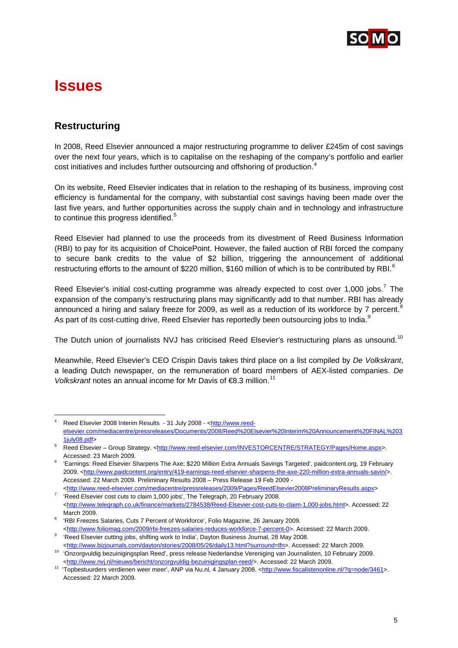

## **Issues**

1

#### **Restructuring**

In 2008, Reed Elsevier announced a major restructuring programme to deliver £245m of cost savings over the next four years, which is to capitalise on the reshaping of the company's portfolio and earlier cost initiatives and includes further outsourcing and offshoring of production.<sup>[4](#page-6-0)</sup>

On its website, Reed Elsevier indicates that in relation to the reshaping of its business, improving cost efficiency is fundamental for the company, with substantial cost savings having been made over the last five years, and further opportunities across the supply chain and in technology and infrastructure to continue this progress identified. $5$ 

Reed Elsevier had planned to use the proceeds from its divestment of Reed Business Information (RBI) to pay for its acquisition of ChoicePoint. However, the failed auction of RBI forced the company to secure bank credits to the value of \$2 billion, triggering the announcement of additional restructuring efforts to the amount of \$220 million, \$1[6](#page-6-2)0 million of which is to be contributed by RBI.<sup>6</sup>

Reed Elsevier's initial cost-cutting programme was already expected to cost over 1,000 jobs.<sup>[7](#page-6-3)</sup> The expansion of the company's restructuring plans may significantly add to that number. RBI has already announced a hiring and salary freeze for 2009, as well as a reduction of its workforce by 7 percent.<sup>[8](#page-6-4)</sup> As part of its cost-cutting drive, Reed Elsevier has reportedly been outsourcing jobs to India.

The Dutch union of journalists NVJ has criticised Reed Elsevier's restructuring plans as unsound.<sup>[10](#page-6-6)</sup>

Meanwhile, Reed Elsevier's CEO Crispin Davis takes third place on a list compiled by *De Volkskrant*, a leading Dutch newspaper, on the remuneration of board members of AEX-listed companies. *De Volkskrant* notes an annual income for Mr Davis of €8.3 million.<sup>[11](#page-6-7)</sup>

<span id="page-6-0"></span><sup>4</sup> Reed Elsevier 2008 Interim Results - 31 July 2008 - <http://www.reedelsevier.com/mediacentre/pressreleases/Documents/2008/Reed%20Elsevier%20Interim%20Announcement%20FINAL%203  $1$ july $08.pdf$ 

<span id="page-6-1"></span>Reed Elsevier - Group Strategy. [<http://www.reed-elsevier.com/INVESTORCENTRE/STRATEGY/Pages/Home.aspx](http://www.reed-elsevier.com/INVESTORCENTRE/STRATEGY/Pages/Home.aspx)>. Accessed: 23 March 2009.

<span id="page-6-2"></span> <sup>&#</sup>x27;Earnings: Reed Elsevier Sharpens The Axe; \$220 Million Extra Annuals Savings Targeted', paidcontent.org, 19 February 2009. [<http://www.paidcontent.org/entry/419-earnings-reed-elsevier-sharpens-the-axe-220-million-extra-annuals-savin/>](http://www.paidcontent.org/entry/419-earnings-reed-elsevier-sharpens-the-axe-220-million-extra-annuals-savin/). Accessed: 22 March 2009. Preliminary Results 2008 – Press Release 19 Feb 2009 -

<span id="page-6-3"></span><sup>&</sup>lt;[http://www.reed-elsevier.com/mediacentre/pressreleases/2009/Pages/ReedElsevier2008PreliminaryResults.aspx>](http://www.reed-elsevier.com/mediacentre/pressreleases/2009/Pages/ReedElsevier2008PreliminaryResults.aspx) 7 <sup>7</sup> 'Reed Elsevier cost cuts to claim 1,000 jobs', The Telegraph, 20 February 2008. <<http://www.telegraph.co.uk/finance/markets/2784538/Reed-Elsevier-cost-cuts-to-claim-1,000-jobs.html>>. Accessed: 22

<span id="page-6-4"></span>March 2009.<br><sup>8</sup> 'RBI Freezes Salaries, Cuts 7 Percent of Workforce', Folio Magazine, 26 January 2009. <<http://www.foliomag.com/2009/rbi-freezes-salaries-reduces-workforce-7-percent-0>>. Accessed: 22 March 2009.

<span id="page-6-5"></span><sup>&</sup>lt;sup>9</sup> 'Reed Elsevier cutting jobs, shifting work to India', Dayton Business Journal, 28 May 2008.

<sup>&</sup>lt;<http://www.bizjournals.com/dayton/stories/2008/05/26/daily13.html?surround=lfn>>. Accessed: 22 March 2009. 10 'Onzorgvuldig bezuinigingsplan Reed', press release Nederlandse Vereniging van Journalisten, 10 February 2009.

<span id="page-6-7"></span><span id="page-6-6"></span><sup>&</sup>lt;<http://www.nvj.nl/nieuws/bericht/onzorgvuldig-bezuinigingsplan-reed/>>. Accessed: 22 March 2009. 11 'Topbestuurders verdienen weer meer', ANP via Nu.nl, 4 January 2008. <[http://www.fiscalistenonline.nl/?q=node/3461>](http://www.fiscalistenonline.nl/?q=node/3461). Accessed: 22 March 2009.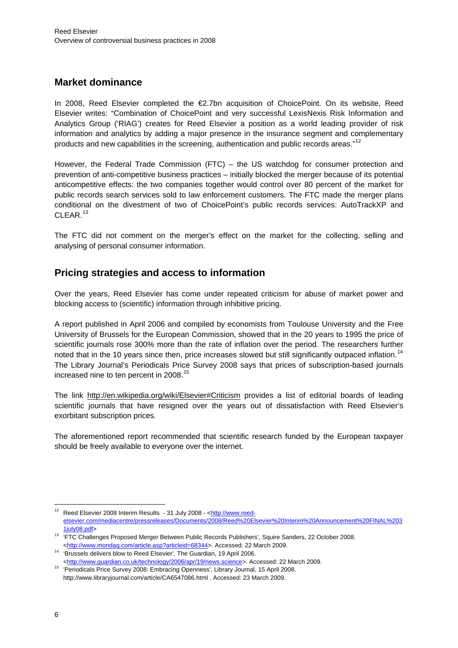#### **Market dominance**

In 2008, Reed Elsevier completed the €2.7bn acquisition of ChoicePoint. On its website, Reed Elsevier writes: "Combination of ChoicePoint and very successful LexisNexis Risk Information and Analytics Group ('RIAG') creates for Reed Elsevier a position as a world leading provider of risk information and analytics by adding a major presence in the insurance segment and complementary products and new capabilities in the screening, authentication and public records areas."<sup>[12](#page-7-0)</sup>

However, the Federal Trade Commission (FTC) – the US watchdog for consumer protection and prevention of anti-competitive business practices – initially blocked the merger because of its potential anticompetitive effects: the two companies together would control over 80 percent of the market for public records search services sold to law enforcement customers. The FTC made the merger plans conditional on the divestment of two of ChoicePoint's public records services: AutoTrackXP and CLEAR.<sup>[13](#page-7-1)</sup>

The FTC did not comment on the merger's effect on the market for the collecting, selling and analysing of personal consumer information.

### **Pricing strategies and access to information**

Over the years, Reed Elsevier has come under repeated criticism for abuse of market power and blocking access to (scientific) information through inhibitive pricing.

A report published in April 2006 and compiled by economists from Toulouse University and the Free University of Brussels for the European Commission, showed that in the 20 years to 1995 the price of scientific journals rose 300% more than the rate of inflation over the period. The researchers further noted that in the 10 years since then, price increases slowed but still significantly outpaced inflation.<sup>[14](#page-7-2)</sup> The Library Journal's Periodicals Price Survey 2008 says that prices of subscription-based journals increased nine to ten percent in 2008.<sup>[15](#page-7-3)</sup>

The link <http://en.wikipedia.org/wiki/Elsevier#Criticism>provides a list of editorial boards of leading scientific journals that have resigned over the years out of dissatisfaction with Reed Elsevier's exorbitant subscription prices.

The aforementioned report recommended that scientific research funded by the European taxpayer should be freely available to everyone over the internet.

<span id="page-7-0"></span><sup>12</sup> Reed Elsevier 2008 Interim Results - 31 July 2008 - <http://www.reedelsevier.com/mediacentre/pressreleases/Documents/2008/Reed%20Elsevier%20Interim%20Announcement%20FINAL%203

<span id="page-7-1"></span><sup>1</sup>july08.pdf> 13 'FTC Challenges Proposed Merger Between Public Records Publishers', Squire Sanders, 22 October 2008. <<http://www.mondaq.com/article.asp?articleid=68344>>. Accessed: 22 March 2009. 14 'Brussels delivers blow to Reed Elsevier', The Guardian, 19 April 2006.

<span id="page-7-2"></span>

<span id="page-7-3"></span><sup>&</sup>lt;<http://www.guardian.co.uk/technology/2006/apr/19/news.science>>. Accessed: 22 March 2009. 15 'Periodicals Price Survey 2008: Embracing Openness', Library Journal, 15 April 2008. http://www.libraryjournal.com/article/CA6547086.html . Accessed: 23 March 2009.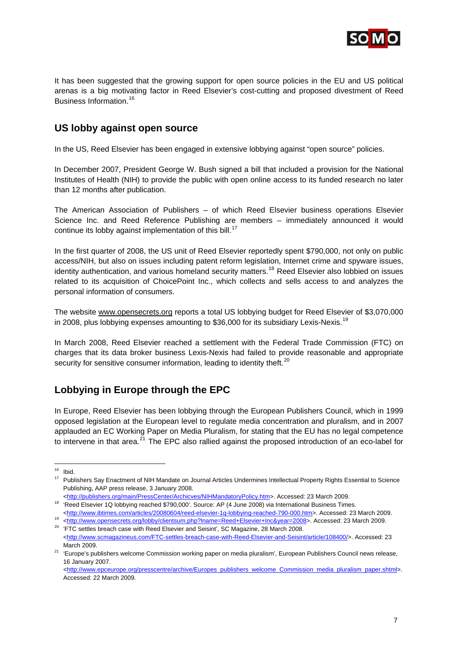

It has been suggested that the growing support for open source policies in the EU and US political arenas is a big motivating factor in Reed Elsevier's cost-cutting and proposed divestment of Reed Business Information.[16](#page-8-0)

#### **US lobby against open source**

In the US, Reed Elsevier has been engaged in extensive lobbying against "open source" policies.

In December 2007, President George W. Bush signed a bill that included a provision for the National Institutes of Health (NIH) to provide the public with open online access to its funded research no later than 12 months after publication.

The American Association of Publishers – of which Reed Elsevier business operations Elsevier Science Inc. and Reed Reference Publishing are members – immediately announced it would continue its lobby against implementation of this bill.<sup>[17](#page-8-1)</sup>

In the first quarter of 2008, the US unit of Reed Elsevier reportedly spent \$790,000, not only on public access/NIH, but also on issues including patent reform legislation, Internet crime and spyware issues, identity authentication, and various homeland security matters.<sup>[18](#page-8-2)</sup> Reed Elsevier also lobbied on issues related to its acquisition of ChoicePoint Inc., which collects and sells access to and analyzes the personal information of consumers.

The website [www.opensecrets.org](http://www.opensecrets.org/) reports a total US lobbying budget for Reed Elsevier of \$3,070,000 in 2008, plus lobbying expenses amounting to  $$36,000$  for its subsidiary Lexis-Nexis.<sup>[19](#page-8-3)</sup>

In March 2008, Reed Elsevier reached a settlement with the Federal Trade Commission (FTC) on charges that its data broker business Lexis-Nexis had failed to provide reasonable and appropriate security for sensitive consumer information, leading to identity theft.<sup>[20](#page-8-4)</sup>

### **Lobbying in Europe through the EPC**

In Europe, Reed Elsevier has been lobbying through the European Publishers Council, which in 1999 opposed legislation at the European level to regulate media concentration and pluralism, and in 2007 applauded an EC Working Paper on Media Pluralism, for stating that the EU has no legal competence to intervene in that area.<sup>[21](#page-8-5)</sup> The EPC also rallied against the proposed introduction of an eco-label for

1

<<http://publishers.org/main/PressCenter/Archicves/NIHMandatoryPolicy.htm>>. Accessed: 23 March 2009. 18 'Reed Elsevier 1Q lobbying reached \$790,000'. Source: AP (4 June 2008) via International Business Times.

<span id="page-8-0"></span> $16$  Ibid.

<span id="page-8-1"></span><sup>&</sup>lt;sup>17</sup> Publishers Say Enactment of NIH Mandate on Journal Articles Undermines Intellectual Property Rights Essential to Science Publishing, AAP press release, 3 January 2008.

<span id="page-8-3"></span><span id="page-8-2"></span><sup>&</sup>lt;<http://www.ibtimes.com/articles/20080604/reed-elsevier-1q-lobbying-reached-790-000.htm>>. Accessed: 23 March 2009.<br>
<sup>19</sup> <[http://www.opensecrets.org/lobby/clientsum.php?lname=Reed+Elsevier+Inc&year=2008>](http://www.opensecrets.org/lobby/clientsum.php?lname=Reed+Elsevier+Inc&year=2008). Accessed: 23 Marc

<span id="page-8-4"></span><sup>&</sup>lt;<http://www.scmagazineus.com/FTC-settles-breach-case-with-Reed-Elsevier-and-Seisint/article/108400/>>. Accessed: 23

<span id="page-8-5"></span>March 2009.<br><sup>21</sup> 'Europe's publishers welcome Commission working paper on media pluralism', European Publishers Council news release, 16 January 2007.

<sup>&</sup>lt;[http://www.epceurope.org/presscentre/archive/Europes\\_publishers\\_welcome\\_Commission\\_media\\_pluralism\\_paper.shtml](http://www.epceurope.org/presscentre/archive/Europes_publishers_welcome_Commission_media_pluralism_paper.shtml)>. Accessed: 22 March 2009.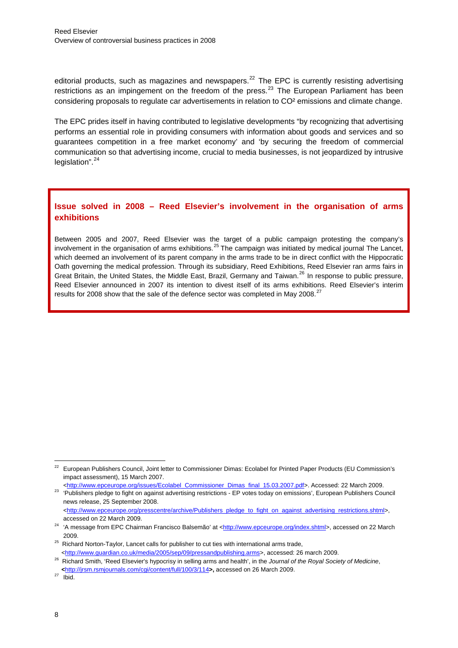editorial products, such as magazines and newspapers. $^{22}$  $^{22}$  $^{22}$  The EPC is currently resisting advertising restrictions as an impingement on the freedom of the press.<sup>[23](#page-9-1)</sup> The European Parliament has been considering proposals to regulate car advertisements in relation to CO² emissions and climate change.

The EPC prides itself in having contributed to legislative developments "by recognizing that advertising performs an essential role in providing consumers with information about goods and services and so guarantees competition in a free market economy' and 'by securing the freedom of commercial communication so that advertising income, crucial to media businesses, is not jeopardized by intrusive legislation".<sup>[24](#page-9-2)</sup>

#### **Issue solved in 2008 – Reed Elsevier's involvement in the organisation of arms exhibitions**

Between 2005 and 2007, Reed Elsevier was the target of a public campaign protesting the company's involvement in the organisation of arms exhibitions.<sup>[25](#page-9-3)</sup> The campaign was initiated by medical journal The Lancet, which deemed an involvement of its parent company in the arms trade to be in direct conflict with the Hippocratic Oath governing the medical profession. Through its subsidiary, Reed Exhibitions, Reed Elsevier ran arms fairs in Great Britain, the United States, the Middle East, Brazil, Germany and Taiwan.[26](#page-9-4) In response to public pressure, Reed Elsevier announced in 2007 its intention to divest itself of its arms exhibitions. Reed Elsevier's interim results for 2008 show that the sale of the defence sector was completed in May 2008.<sup>[27](#page-9-5)</sup>

<span id="page-9-0"></span><sup>&</sup>lt;sup>22</sup> European Publishers Council, Joint letter to Commissioner Dimas: Ecolabel for Printed Paper Products (EU Commission's impact assessment), 15 March 2007.

<span id="page-9-1"></span><sup>&</sup>lt;[http://www.epceurope.org/issues/Ecolabel\\_Commissioner\\_Dimas\\_final\\_15.03.2007.pdf](http://www.epceurope.org/issues/Ecolabel_Commissioner_Dimas_final_15.03.2007.pdf)>. Accessed: 22 March 2009.<br>
"Publishers pledge to fight on against advertising restrictions - EP votes today on emissions', European Publish news release, 25 September 2008. <[http://www.epceurope.org/presscentre/archive/Publishers\\_pledge\\_to\\_fight\\_on\\_against\\_advertising\\_restrictions.shtml](http://www.epceurope.org/presscentre/archive/Publishers_pledge_to_fight_on_against_advertising_restrictions.shtml)>,

accessed on 22 March 2009.<br><sup>24</sup> 'A message from EPC Chairman Francisco Balsemão' at <[http://www.epceurope.org/index.shtml>](http://www.epceurope.org/index.shtml), accessed on 22 March

<span id="page-9-2"></span><sup>2009. 25</sup> Richard Norton-Taylor, Lancet calls for publisher to cut ties with international arms trade,

<span id="page-9-3"></span>

<span id="page-9-4"></span><sup>&</sup>lt;<http://www.guardian.co.uk/media/2005/sep/09/pressandpublishing.arms>>, accessed: 26 march 2009.<br><sup>26</sup> Richard Smith, 'Reed Elsevier's hypocrisy in selling arms and health', in the Journal of the Royal Society of Medicine, **<sup>&</sup>lt;**http://jrsm.rsmjournals.com/cgi/content/full/100/3/114**>,** accessed on 26 March 2009. 27 Ibid.

<span id="page-9-5"></span>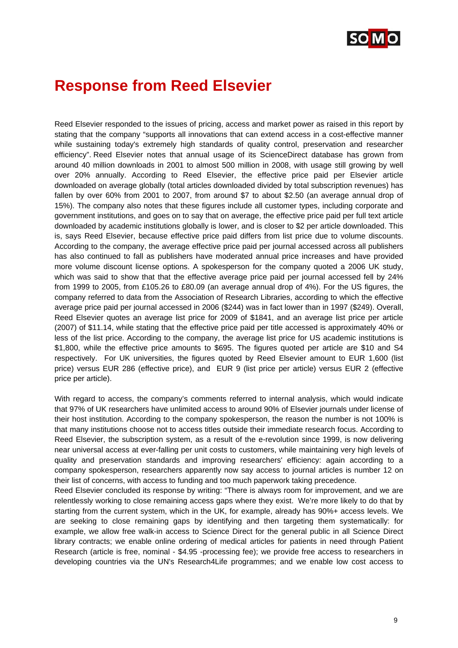

## **Response from Reed Elsevier**

Reed Elsevier responded to the issues of pricing, access and market power as raised in this report by stating that the company "supports all innovations that can extend access in a cost-effective manner while sustaining today's extremely high standards of quality control, preservation and researcher efficiency". Reed Elsevier notes that annual usage of its ScienceDirect database has grown from around 40 million downloads in 2001 to almost 500 million in 2008, with usage still growing by well over 20% annually. According to Reed Elsevier, the effective price paid per Elsevier article downloaded on average globally (total articles downloaded divided by total subscription revenues) has fallen by over 60% from 2001 to 2007, from around \$7 to about \$2.50 (an average annual drop of 15%). The company also notes that these figures include all customer types, including corporate and government institutions, and goes on to say that on average, the effective price paid per full text article downloaded by academic institutions globally is lower, and is closer to \$2 per article downloaded. This is, says Reed Elsevier, because effective price paid differs from list price due to volume discounts. According to the company, the average effective price paid per journal accessed across all publishers has also continued to fall as publishers have moderated annual price increases and have provided more volume discount license options. A spokesperson for the company quoted a 2006 UK study, which was said to show that that the effective average price paid per journal accessed fell by 24% from 1999 to 2005, from £105.26 to £80.09 (an average annual drop of 4%). For the US figures, the company referred to data from the Association of Research Libraries, according to which the effective average price paid per journal accessed in 2006 (\$244) was in fact lower than in 1997 (\$249). Overall, Reed Elsevier quotes an average list price for 2009 of \$1841, and an average list price per article (2007) of \$11.14, while stating that the effective price paid per title accessed is approximately 40% or less of the list price. According to the company, the average list price for US academic institutions is \$1,800, while the effective price amounts to \$695. The figures quoted per article are \$10 and S4 respectively. For UK universities, the figures quoted by Reed Elsevier amount to EUR 1,600 (list price) versus EUR 286 (effective price), and EUR 9 (list price per article) versus EUR 2 (effective price per article).

With regard to access, the company's comments referred to internal analysis, which would indicate that 97% of UK researchers have unlimited access to around 90% of Elsevier journals under license of their host institution. According to the company spokesperson, the reason the number is not 100% is that many institutions choose not to access titles outside their immediate research focus. According to Reed Elsevier, the subscription system, as a result of the e-revolution since 1999, is now delivering near universal access at ever-falling per unit costs to customers, while maintaining very high levels of quality and preservation standards and improving researchers' efficiency: again according to a company spokesperson, researchers apparently now say access to journal articles is number 12 on their list of concerns, with access to funding and too much paperwork taking precedence.

Reed Elsevier concluded its response by writing: "There is always room for improvement, and we are relentlessly working to close remaining access gaps where they exist. We're more likely to do that by starting from the current system, which in the UK, for example, already has 90%+ access levels. We are seeking to close remaining gaps by identifying and then targeting them systematically: for example, we allow free walk-in access to Science Direct for the general public in all Science Direct library contracts; we enable online ordering of medical articles for patients in need through Patient Research (article is free, nominal - \$4.95 -processing fee); we provide free access to researchers in developing countries via the UN's Research4Life programmes; and we enable low cost access to